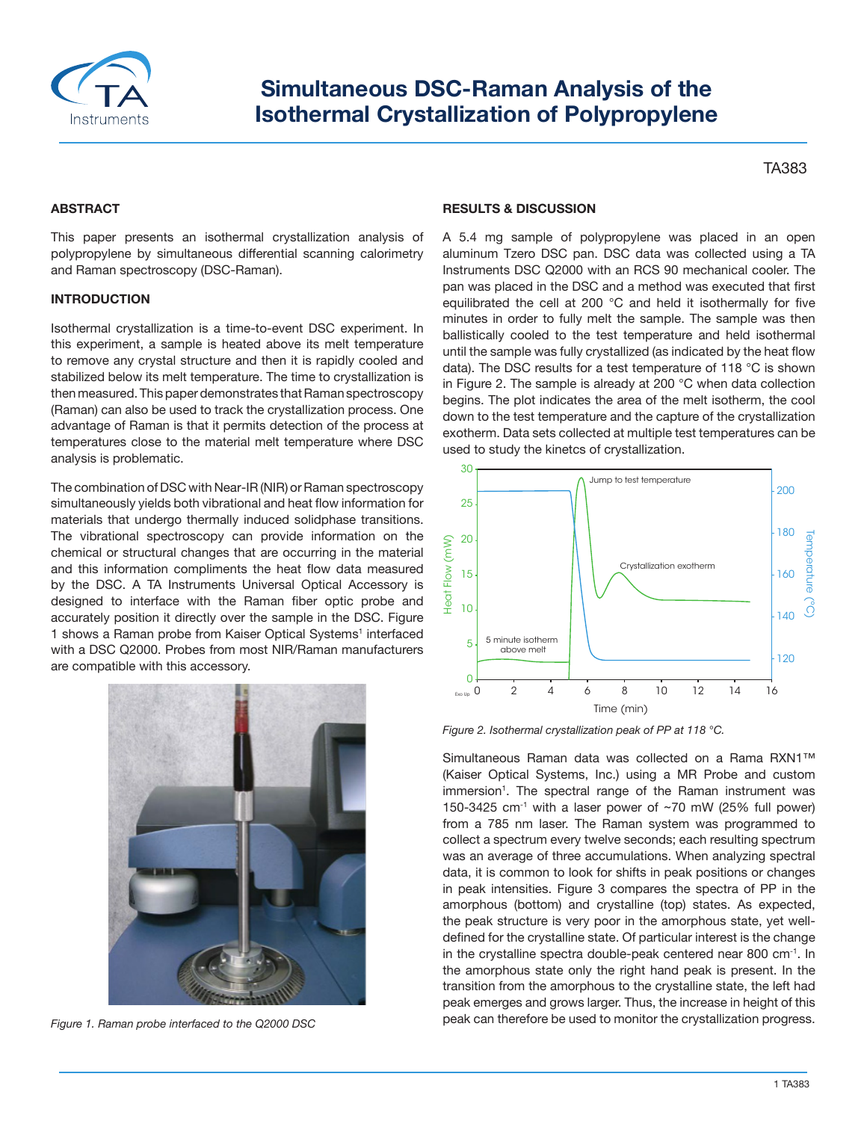

# **Simultaneous DSC‐Raman Analysis of the Isothermal Crystallization of Polypropylene**

TA383

# **ABSTRACT**

This paper presents an isothermal crystallization analysis of polypropylene by simultaneous differential scanning calorimetry and Raman spectroscopy (DSC‐Raman).

### **INTRODUCTION**

Isothermal crystallization is a time‐to‐event DSC experiment. In this experiment, a sample is heated above its melt temperature to remove any crystal structure and then it is rapidly cooled and stabilized below its melt temperature. The time to crystallization is then measured. This paper demonstrates that Raman spectroscopy (Raman) can also be used to track the crystallization process. One advantage of Raman is that it permits detection of the process at temperatures close to the material melt temperature where DSC analysis is problematic.

The combination of DSC with Near‐IR (NIR) or Raman spectroscopy simultaneously yields both vibrational and heat flow information for materials that undergo thermally induced solidphase transitions. The vibrational spectroscopy can provide information on the chemical or structural changes that are occurring in the material and this information compliments the heat flow data measured by the DSC. A TA Instruments Universal Optical Accessory is designed to interface with the Raman fiber optic probe and accurately position it directly over the sample in the DSC. Figure 1 shows a Raman probe from Kaiser Optical Systems<sup>1</sup> interfaced with a DSC Q2000. Probes from most NIR/Raman manufacturers are compatible with this accessory.



*Figure 1. Raman probe interfaced to the Q2000 DSC*

#### **RESULTS & DISCUSSION**

A 5.4 mg sample of polypropylene was placed in an open aluminum Tzero DSC pan. DSC data was collected using a TA Instruments DSC Q2000 with an RCS 90 mechanical cooler. The pan was placed in the DSC and a method was executed that first equilibrated the cell at 200 °C and held it isothermally for five minutes in order to fully melt the sample. The sample was then ballistically cooled to the test temperature and held isothermal until the sample was fully crystallized (as indicated by the heat flow data). The DSC results for a test temperature of 118 °C is shown in Figure 2. The sample is already at 200 °C when data collection begins. The plot indicates the area of the melt isotherm, the cool down to the test temperature and the capture of the crystallization exotherm. Data sets collected at multiple test temperatures can be used to study the kinetcs of crystallization.



*Figure 2. Isothermal crystallization peak of PP at 118 °C.*

Simultaneous Raman data was collected on a Rama RXN1™ (Kaiser Optical Systems, Inc.) using a MR Probe and custom immersion<sup>1</sup>. The spectral range of the Raman instrument was 150-3425 cm $^{-1}$  with a laser power of ~70 mW (25% full power) from a 785 nm laser. The Raman system was programmed to collect a spectrum every twelve seconds; each resulting spectrum was an average of three accumulations. When analyzing spectral data, it is common to look for shifts in peak positions or changes in peak intensities. Figure 3 compares the spectra of PP in the amorphous (bottom) and crystalline (top) states. As expected, the peak structure is very poor in the amorphous state, yet well‐ defined for the crystalline state. Of particular interest is the change in the crystalline spectra double‐peak centered near 800 cm‐1. In the amorphous state only the right hand peak is present. In the transition from the amorphous to the crystalline state, the left had peak emerges and grows larger. Thus, the increase in height of this Example to the monotonical can the can therefore be used to monitor the crystallization progress.<br>
The crystallization pair of the crystal and the crystal can therefore be used to monotonic the crystal crystal crystalliza